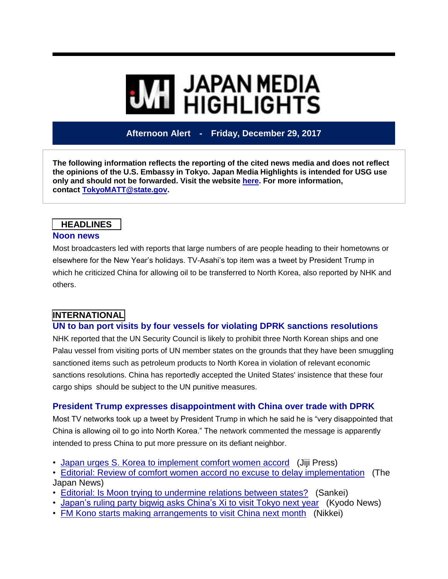# **MI** JAPAN MEDIA<br>MI HIGHLIGHTS

**Afternoon Alert - Friday, December 29, 2017**

**The following information reflects the reporting of the cited news media and does not reflect the opinions of the U.S. Embassy in Tokyo. Japan Media Highlights is intended for USG use only and should not be forwarded. Visit the website [here.](https://jmh.usembassy.gov/) For more information, contact [TokyoMATT@state.gov.](mailto:TokyoMATT@state.gov)**

#### **HEADLINES**

#### **Noon news**

Most broadcasters led with reports that large numbers of are people heading to their hometowns or elsewhere for the New Year's holidays. TV-Asahi's top item was a tweet by President Trump in which he criticized China for allowing oil to be transferred to North Korea, also reported by NHK and others.

# **INTERNATIONAL**

#### **UN to ban port visits by four vessels for violating DPRK sanctions resolutions**

NHK reported that the UN Security Council is likely to prohibit three North Korean ships and one Palau vessel from visiting ports of UN member states on the grounds that they have been smuggling sanctioned items such as petroleum products to North Korea in violation of relevant economic sanctions resolutions. China has reportedly accepted the United States' insistence that these four cargo ships should be subject to the UN punitive measures.

### **President Trump expresses disappointment with China over trade with DPRK**

Most TV networks took up a tweet by President Trump in which he said he is "very disappointed that China is allowing oil to go into North Korea." The network commented the message is apparently intended to press China to put more pressure on its defiant neighbor.

- Japan urges S. Korea to [implement](https://jmh.usembassy.gov/2017122997883/) comfort women accord (Jiji Press)
- Editorial: Review of comfort women accord no excuse to delay [implementation](https://jmh.usembassy.gov/2017122997872/) (The Japan News)
- Editorial: Is Moon trying to [undermine](https://jmh.usembassy.gov/2017122997874/) relations between states? (Sankei)
- [Japan's](https://jmh.usembassy.gov/2017122997886/) ruling party bigwig asks China's Xi to visit Tokyo next year (Kyodo News)
- FM Kono starts making [arrangements](https://jmh.usembassy.gov/2017122997881/) to visit China next month (Nikkei)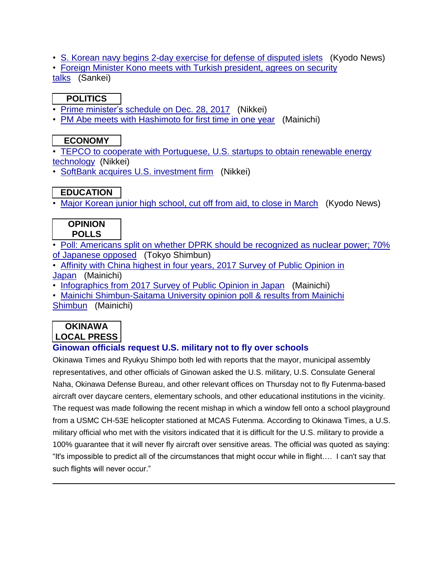- S. Korean navy begins 2-day exercise for defense of [disputed](https://jmh.usembassy.gov/2017122997893/) islets (Kyodo News)
- Foreign Minister Kono meets with Turkish [president,](https://jmh.usembassy.gov/2017122997879/) agrees on security

[talks](https://jmh.usembassy.gov/2017122997879/) (Sankei)

## **POLITICS**

- Prime [minister's](https://jmh.usembassy.gov/2017122997871/) schedule on Dec. 28, 2017 (Nikkei)
- PM Abe meets with [Hashimoto](https://jmh.usembassy.gov/2017122997885/) for first time in one year (Mainichi)

## **ECONOMY**

• TEPCO to cooperate with [Portuguese,](https://jmh.usembassy.gov/2017122997884/) U.S. startups to obtain renewable energy [technology](https://jmh.usembassy.gov/2017122997884/) (Nikkei)

• SoftBank acquires U.S. [investment](https://jmh.usembassy.gov/2017122997890/) firm (Nikkei)

## **EDUCATION**

• Major [Korean](https://jmh.usembassy.gov/2017122997888/) junior high school, cut off from aid, to close in March (Kyodo News)

#### **OPINION POLLS**

- Poll: Americans split on whether DPRK should be [recognized](https://jmh.usembassy.gov/2017122997876/) as nuclear power; 70% of [Japanese](https://jmh.usembassy.gov/2017122997876/) opposed (Tokyo Shimbun)
- Affinity with China highest in four years, 2017 Survey of Public [Opinion](https://jmh.usembassy.gov/2017122997901/) in [Japan](https://jmh.usembassy.gov/2017122997901/) (Mainichi)
- [Infographics](https://jmh.usembassy.gov/2017122997904/) from 2017 Survey of Public Opinion in Japan (Mainichi)
- Mainichi [Shimbun-Saitama](https://jmh.usembassy.gov/2017122997898/) University opinion poll & results from Mainichi [Shimbun](https://jmh.usembassy.gov/2017122997898/) (Mainichi)

## **OKINAWA LOCAL PRESS**

### **Ginowan officials request U.S. military not to fly over schools**

Okinawa Times and Ryukyu Shimpo both led with reports that the mayor, municipal assembly representatives, and other officials of Ginowan asked the U.S. military, U.S. Consulate General Naha, Okinawa Defense Bureau, and other relevant offices on Thursday not to fly Futenma-based aircraft over daycare centers, elementary schools, and other educational institutions in the vicinity. The request was made following the recent mishap in which a window fell onto a school playground from a USMC CH-53E helicopter stationed at MCAS Futenma. According to Okinawa Times, a U.S. military official who met with the visitors indicated that it is difficult for the U.S. military to provide a 100% guarantee that it will never fly aircraft over sensitive areas. The official was quoted as saying: "It's impossible to predict all of the circumstances that might occur while in flight…. I can't say that such flights will never occur."